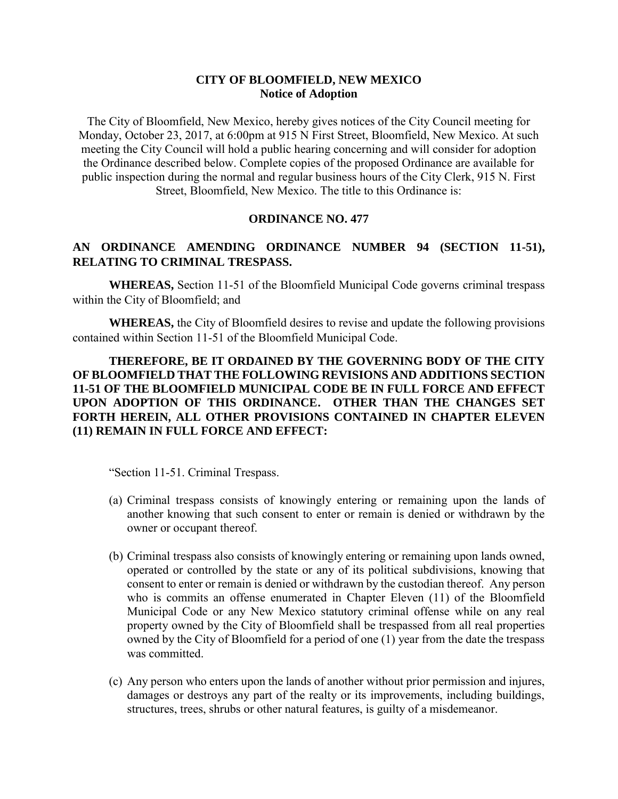## **CITY OF BLOOMFIELD, NEW MEXICO Notice of Adoption**

The City of Bloomfield, New Mexico, hereby gives notices of the City Council meeting for Monday, October 23, 2017, at 6:00pm at 915 N First Street, Bloomfield, New Mexico. At such meeting the City Council will hold a public hearing concerning and will consider for adoption the Ordinance described below. Complete copies of the proposed Ordinance are available for public inspection during the normal and regular business hours of the City Clerk, 915 N. First Street, Bloomfield, New Mexico. The title to this Ordinance is:

## **ORDINANCE NO. 477**

## **AN ORDINANCE AMENDING ORDINANCE NUMBER 94 (SECTION 11-51), RELATING TO CRIMINAL TRESPASS.**

**WHEREAS,** Section 11-51 of the Bloomfield Municipal Code governs criminal trespass within the City of Bloomfield; and

**WHEREAS,** the City of Bloomfield desires to revise and update the following provisions contained within Section 11-51 of the Bloomfield Municipal Code.

**THEREFORE, BE IT ORDAINED BY THE GOVERNING BODY OF THE CITY OF BLOOMFIELD THAT THE FOLLOWING REVISIONS AND ADDITIONS SECTION 11-51 OF THE BLOOMFIELD MUNICIPAL CODE BE IN FULL FORCE AND EFFECT UPON ADOPTION OF THIS ORDINANCE. OTHER THAN THE CHANGES SET FORTH HEREIN, ALL OTHER PROVISIONS CONTAINED IN CHAPTER ELEVEN (11) REMAIN IN FULL FORCE AND EFFECT:**

"Section 11-51. Criminal Trespass.

- (a) Criminal trespass consists of knowingly entering or remaining upon the lands of another knowing that such consent to enter or remain is denied or withdrawn by the owner or occupant thereof.
- (b) Criminal trespass also consists of knowingly entering or remaining upon lands owned, operated or controlled by the state or any of its political subdivisions, knowing that consent to enter or remain is denied or withdrawn by the custodian thereof. Any person who is commits an offense enumerated in Chapter Eleven (11) of the Bloomfield Municipal Code or any New Mexico statutory criminal offense while on any real property owned by the City of Bloomfield shall be trespassed from all real properties owned by the City of Bloomfield for a period of one (1) year from the date the trespass was committed.
- (c) Any person who enters upon the lands of another without prior permission and injures, damages or destroys any part of the realty or its improvements, including buildings, structures, trees, shrubs or other natural features, is guilty of a misdemeanor.